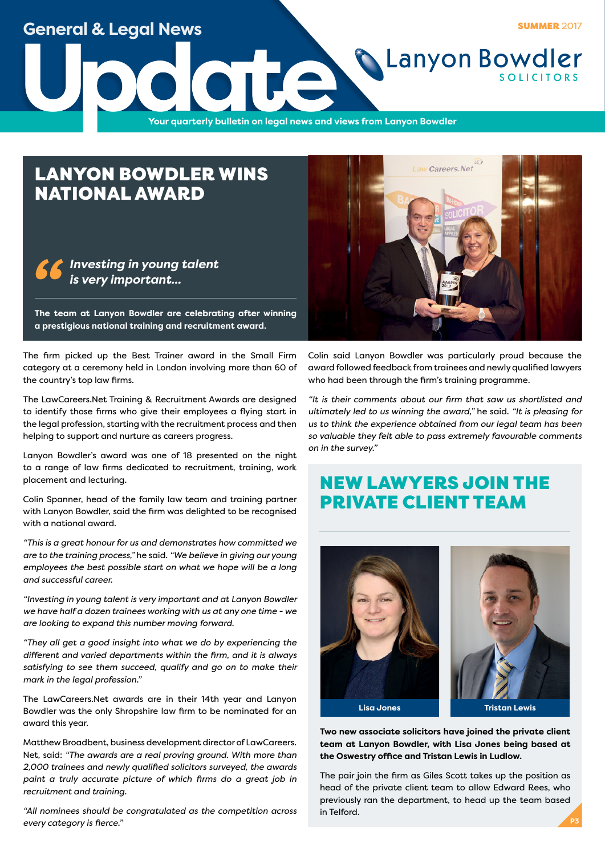### **General & Legal News**

**SUMMER 2017** 

**Lanyon Bowdler** 

**Update**<br>The Vour quarterly bulletin on legal news and v **Your quarterly bulletin on legal news and views from Lanyon Bowdler**

## LANYON BOWDLER WINS NATIONAL AWARD



**a prestigious national training and recruitment award.**

The firm picked up the Best Trainer award in the Small Firm category at a ceremony held in London involving more than 60 of the country's top law firms.

The LawCareers.Net Training & Recruitment Awards are designed to identify those firms who give their employees a flying start in the legal profession, starting with the recruitment process and then helping to support and nurture as careers progress.

Lanyon Bowdler's award was one of 18 presented on the night to a range of law firms dedicated to recruitment, training, work placement and lecturing.

Colin Spanner, head of the family law team and training partner with Lanyon Bowdler, said the firm was delighted to be recognised with a national award.

*"This is a great honour for us and demonstrates how committed we are to the training process,"* he said. *"We believe in giving our young employees the best possible start on what we hope will be a long and successful career.*

*"Investing in young talent is very important and at Lanyon Bowdler we have half a dozen trainees working with us at any one time - we are looking to expand this number moving forward.*

*"They all get a good insight into what we do by experiencing the different and varied departments within the firm, and it is always satisfying to see them succeed, qualify and go on to make their mark in the legal profession."*

The LawCareers.Net awards are in their 14th year and Lanyon Bowdler was the only Shropshire law firm to be nominated for an award this year.

Matthew Broadbent, business development director of LawCareers. Net, said: *"The awards are a real proving ground. With more than 2,000 trainees and newly qualified solicitors surveyed, the awards paint a truly accurate picture of which firms do a great job in recruitment and training.*

*"All nominees should be congratulated as the competition across every category is fierce."*



Colin said Lanyon Bowdler was particularly proud because the award followed feedback from trainees and newly qualified lawyers who had been through the firm's training programme.

*"It is their comments about our firm that saw us shortlisted and ultimately led to us winning the award,"* he said. *"It is pleasing for us to think the experience obtained from our legal team has been so valuable they felt able to pass extremely favourable comments on in the survey."*

# NEW LAWYERS JOIN THE PRIVATE CLIENT TEAM





**Two new associate solicitors have joined the private client team at Lanyon Bowdler, with Lisa Jones being based at the Oswestry office and Tristan Lewis in Ludlow.**

The pair join the firm as Giles Scott takes up the position as head of the private client team to allow Edward Rees, who previously ran the department, to head up the team based in Telford.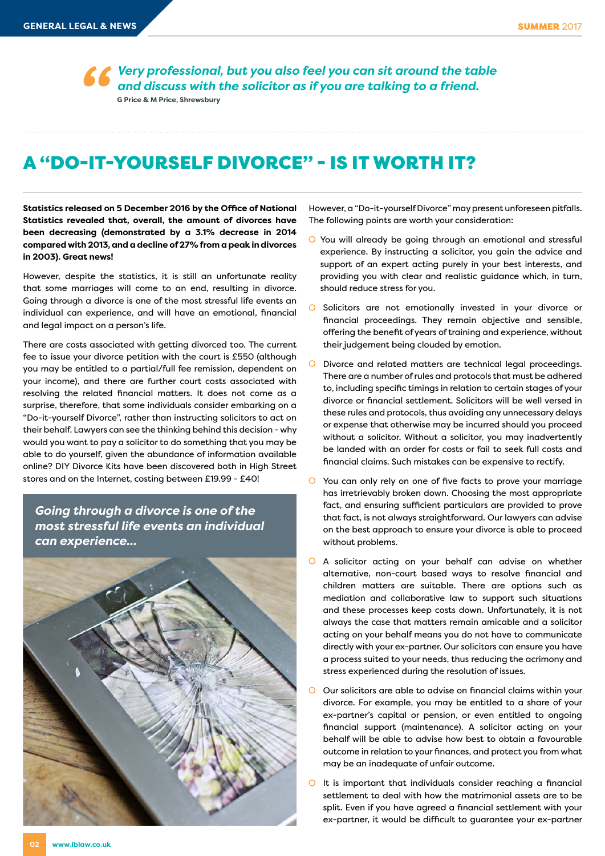*Very professional, but you also feel you can sit around the table and discuss with the solicitor as if you are talking to a friend.* **G Price & M Price, Shrewsbury** *''*

### A "DO-IT-YOURSELF DIVORCE" - IS IT WORTH IT?

**Statistics released on 5 December 2016 by the Office of National Statistics revealed that, overall, the amount of divorces have been decreasing (demonstrated by a 3.1% decrease in 2014 compared with 2013, and a decline of 27% from a peak in divorces in 2003). Great news!** 

However, despite the statistics, it is still an unfortunate reality that some marriages will come to an end, resulting in divorce. Going through a divorce is one of the most stressful life events an individual can experience, and will have an emotional, financial and legal impact on a person's life.

There are costs associated with getting divorced too. The current fee to issue your divorce petition with the court is £550 (although you may be entitled to a partial/full fee remission, dependent on your income), and there are further court costs associated with resolving the related financial matters. It does not come as a surprise, therefore, that some individuals consider embarking on a "Do-it-yourself Divorce", rather than instructing solicitors to act on their behalf. Lawyers can see the thinking behind this decision - why would you want to pay a solicitor to do something that you may be able to do yourself, given the abundance of information available online? DIY Divorce Kits have been discovered both in High Street stores and on the Internet, costing between £19.99 - £40!

*Going through a divorce is one of the most stressful life events an individual can experience...*



However, a "Do-it-yourself Divorce" may present unforeseen pitfalls. The following points are worth your consideration:

- You will already be going through an emotional and stressful experience. By instructing a solicitor, you gain the advice and support of an expert acting purely in your best interests, and providing you with clear and realistic guidance which, in turn, should reduce stress for you.
- O Solicitors are not emotionally invested in your divorce or financial proceedings. They remain objective and sensible, offering the benefit of years of training and experience, without their judgement being clouded by emotion.
- Divorce and related matters are technical legal proceedings. There are a number of rules and protocols that must be adhered to, including specific timings in relation to certain stages of your divorce or financial settlement. Solicitors will be well versed in these rules and protocols, thus avoiding any unnecessary delays or expense that otherwise may be incurred should you proceed without a solicitor. Without a solicitor, you may inadvertently be landed with an order for costs or fail to seek full costs and financial claims. Such mistakes can be expensive to rectify.
- You can only rely on one of five facts to prove your marriage has irretrievably broken down. Choosing the most appropriate fact, and ensuring sufficient particulars are provided to prove that fact, is not always straightforward. Our lawyers can advise on the best approach to ensure your divorce is able to proceed without problems.
- A solicitor acting on your behalf can advise on whether alternative, non-court based ways to resolve financial and children matters are suitable. There are options such as mediation and collaborative law to support such situations and these processes keep costs down. Unfortunately, it is not always the case that matters remain amicable and a solicitor acting on your behalf means you do not have to communicate directly with your ex-partner. Our solicitors can ensure you have a process suited to your needs, thus reducing the acrimony and stress experienced during the resolution of issues.
- $\overline{O}$  Our solicitors are able to advise on financial claims within your divorce. For example, you may be entitled to a share of your ex-partner's capital or pension, or even entitled to ongoing financial support (maintenance). A solicitor acting on your behalf will be able to advise how best to obtain a favourable outcome in relation to your finances, and protect you from what may be an inadequate of unfair outcome.
- $\overline{O}$  It is important that individuals consider reaching a financial settlement to deal with how the matrimonial assets are to be split. Even if you have agreed a financial settlement with your ex-partner, it would be difficult to guarantee your ex-partner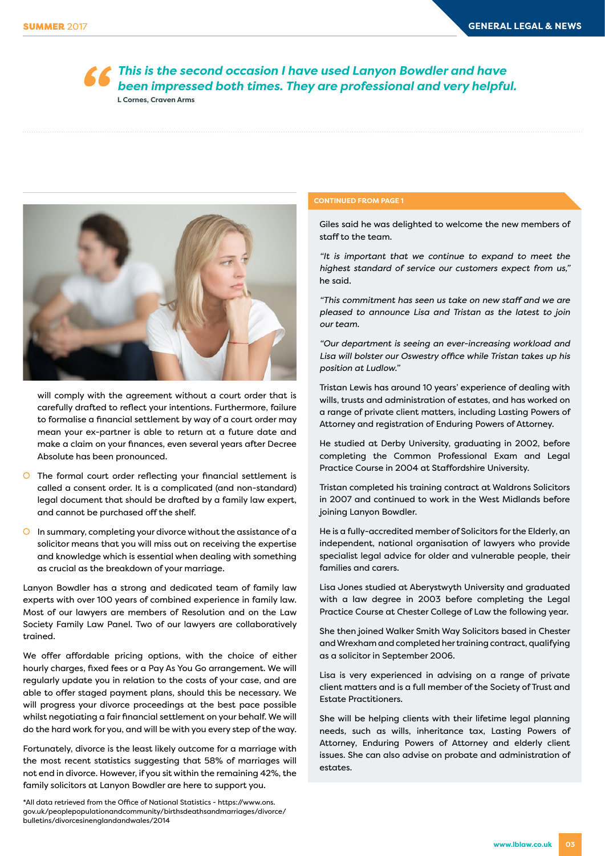**66** This is the second occasion I have used Lanyon Bowdler and have been impressed both times. They are professional and very helpfu<br>
LCornes, Craven Arms *been impressed both times. They are professional and very helpful.* **L Cornes, Craven Arms**



will comply with the agreement without a court order that is carefully drafted to reflect your intentions. Furthermore, failure to formalise a financial settlement by way of a court order may mean your ex-partner is able to return at a future date and make a claim on your finances, even several years after Decree Absolute has been pronounced.

- $\overline{O}$  The formal court order reflecting your financial settlement is called a consent order. It is a complicated (and non-standard) legal document that should be drafted by a family law expert, and cannot be purchased off the shelf.
- $\circ$  In summary, completing your divorce without the assistance of a solicitor means that you will miss out on receiving the expertise and knowledge which is essential when dealing with something as crucial as the breakdown of your marriage.

Lanyon Bowdler has a strong and dedicated team of family law experts with over 100 years of combined experience in family law. Most of our lawyers are members of Resolution and on the Law Society Family Law Panel. Two of our lawyers are collaboratively trained.

We offer affordable pricing options, with the choice of either hourly charges, fixed fees or a Pay As You Go arrangement. We will regularly update you in relation to the costs of your case, and are able to offer staged payment plans, should this be necessary. We will progress your divorce proceedings at the best pace possible whilst negotiating a fair financial settlement on your behalf. We will do the hard work for you, and will be with you every step of the way.

Fortunately, divorce is the least likely outcome for a marriage with the most recent statistics suggesting that 58% of marriages will not end in divorce. However, if you sit within the remaining 42%, the family solicitors at Lanyon Bowdler are here to support you.

\*All data retrieved from the Office of National Statistics - https://www.ons. gov.uk/peoplepopulationandcommunity/birthsdeathsandmarriages/divorce/ bulletins/divorcesinenglandandwales/2014

### **CONTINUED FROM PAGE 1**

Giles said he was delighted to welcome the new members of staff to the team.

*"It is important that we continue to expand to meet the highest standard of service our customers expect from us,"* he said.

*"This commitment has seen us take on new staff and we are pleased to announce Lisa and Tristan as the latest to join our team.*

*"Our department is seeing an ever-increasing workload and Lisa will bolster our Oswestry office while Tristan takes up his position at Ludlow."*

Tristan Lewis has around 10 years' experience of dealing with wills, trusts and administration of estates, and has worked on a range of private client matters, including Lasting Powers of Attorney and registration of Enduring Powers of Attorney.

He studied at Derby University, graduating in 2002, before completing the Common Professional Exam and Legal Practice Course in 2004 at Staffordshire University.

Tristan completed his training contract at Waldrons Solicitors in 2007 and continued to work in the West Midlands before joining Lanyon Bowdler.

He is a fully-accredited member of Solicitors for the Elderly, an independent, national organisation of lawyers who provide specialist legal advice for older and vulnerable people, their families and carers.

Lisa Jones studied at Aberystwyth University and graduated with a law degree in 2003 before completing the Legal Practice Course at Chester College of Law the following year.

She then joined Walker Smith Way Solicitors based in Chester and Wrexham and completed her training contract, qualifying as a solicitor in September 2006.

Lisa is very experienced in advising on a range of private client matters and is a full member of the Society of Trust and Estate Practitioners.

She will be helping clients with their lifetime legal planning needs, such as wills, inheritance tax, Lasting Powers of Attorney, Enduring Powers of Attorney and elderly client issues. She can also advise on probate and administration of estates.